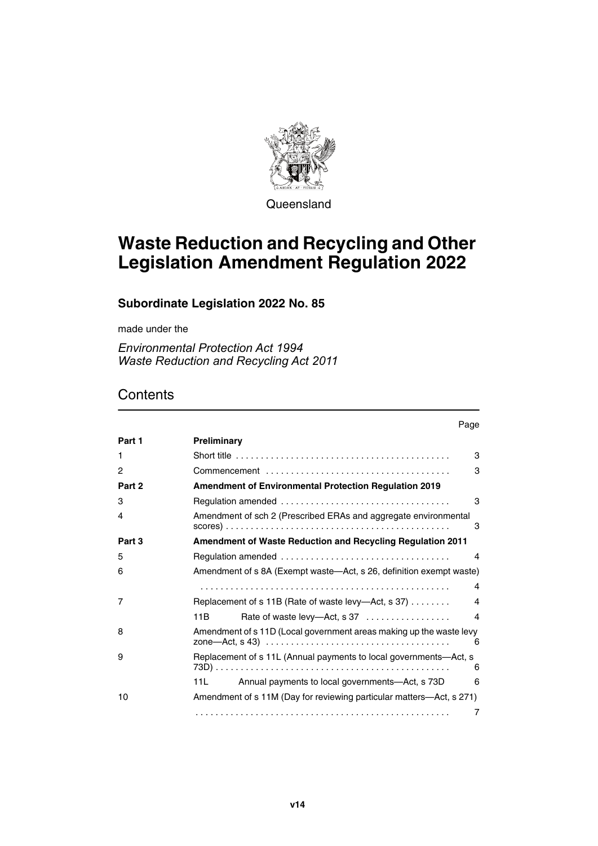

**Queensland** 

# **Waste Reduction and Recycling and Other Legislation Amendment Regulation 2022**

## **Subordinate Legislation 2022 No. 85**

made under the

*Environmental Protection Act 1994 Waste Reduction and Recycling Act 2011*

## **Contents**

|                | Page                                                                                                   |
|----------------|--------------------------------------------------------------------------------------------------------|
| Part 1         | <b>Preliminary</b>                                                                                     |
| 1              | Short title $\ldots \ldots \ldots \ldots \ldots \ldots \ldots \ldots \ldots \ldots \ldots \ldots$<br>3 |
| $\overline{c}$ | 3                                                                                                      |
| Part 2         | <b>Amendment of Environmental Protection Regulation 2019</b>                                           |
| 3              | 3                                                                                                      |
| 4              | Amendment of sch 2 (Prescribed ERAs and aggregate environmental<br>3                                   |
| Part 3         | Amendment of Waste Reduction and Recycling Regulation 2011                                             |
| 5              | 4                                                                                                      |
| 6              | Amendment of s 8A (Exempt waste—Act, s 26, definition exempt waste)                                    |
|                | 4                                                                                                      |
| 7              | Replacement of s 11B (Rate of waste levy-Act, s 37)<br>4                                               |
|                | Rate of waste levy-Act, s 37<br>11B<br>4                                                               |
| 8              | Amendment of s 11D (Local government areas making up the waste levy<br>6                               |
| 9              | Replacement of s 11L (Annual payments to local governments—Act, s<br>6                                 |
|                | Annual payments to local governments-Act, s 73D<br>11L<br>6                                            |
| 10             | Amendment of s 11M (Day for reviewing particular matters-Act, s 271)                                   |
|                | 7                                                                                                      |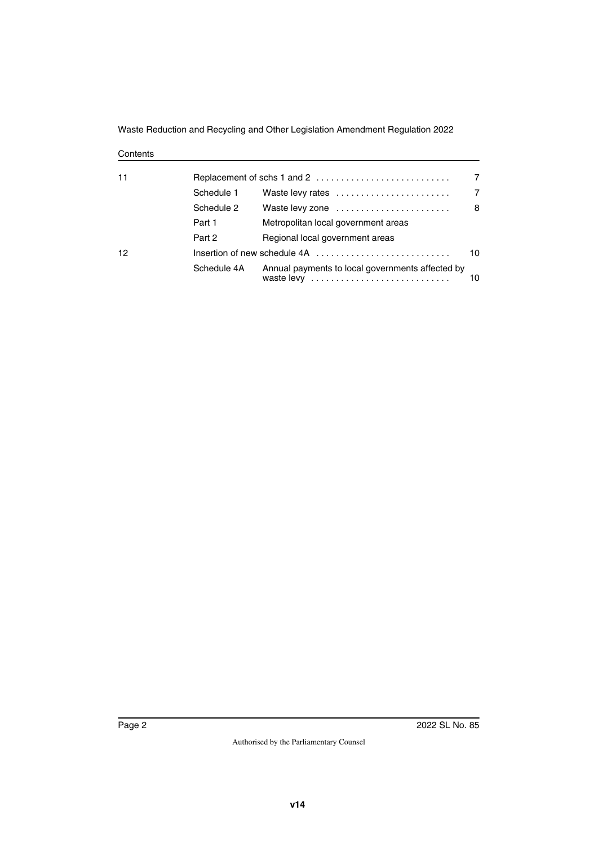Waste Reduction and Recycling and Other Legislation Amendment Regulation 2022

#### **Contents**

| 11 | 7           |                                                  |    |  |
|----|-------------|--------------------------------------------------|----|--|
|    | Schedule 1  | Waste levy rates                                 | 7  |  |
|    | Schedule 2  | Waste levy zone                                  | 8  |  |
|    | Part 1      | Metropolitan local government areas              |    |  |
|    | Part 2      | Regional local government areas                  |    |  |
| 12 |             |                                                  | 10 |  |
|    | Schedule 4A | Annual payments to local governments affected by | 10 |  |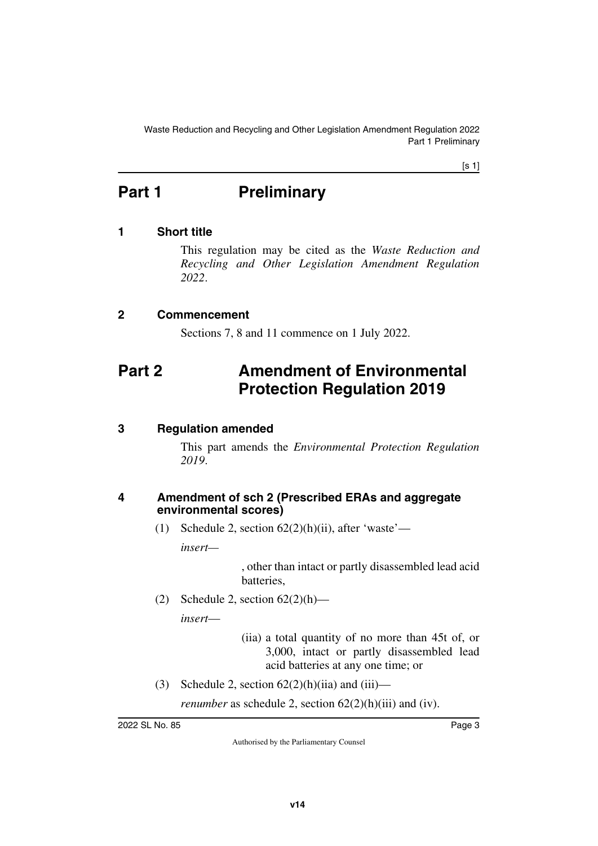Waste Reduction and Recycling and Other Legislation Amendment Regulation 2022 Part 1 Preliminary

[s 1]

# <span id="page-2-0"></span>**Part 1** Preliminary

## <span id="page-2-2"></span>**1 Short title**

<span id="page-2-3"></span><span id="page-2-1"></span>This regulation may be cited as the *Waste Reduction and Recycling and Other Legislation Amendment Regulation 2022*.

### <span id="page-2-4"></span>**2 Commencement**

<span id="page-2-7"></span><span id="page-2-5"></span>Sections 7, 8 and 11 commence on 1 July 2022.

## <span id="page-2-6"></span>**Part 2 Amendment of Environmental Protection Regulation 2019**

## <span id="page-2-8"></span>**3 Regulation amended**

<span id="page-2-9"></span>This part amends the *Environmental Protection Regulation 2019*.

### <span id="page-2-11"></span><span id="page-2-10"></span>**4 Amendment of sch 2 (Prescribed ERAs and aggregate environmental scores)**

(1) Schedule 2, section  $62(2)(h)(ii)$ , after 'waste'—

*insert—*

, other than intact or partly disassembled lead acid batteries,

(2) Schedule 2, section  $62(2)(h)$ —

*insert*—

(iia) a total quantity of no more than 45t of, or 3,000, intact or partly disassembled lead acid batteries at any one time; or

(3) Schedule 2, section  $62(2)(h)(ii)$  and  $(iii)$ —

*renumber* as schedule 2, section  $62(2)(h)(iii)$  and (iv).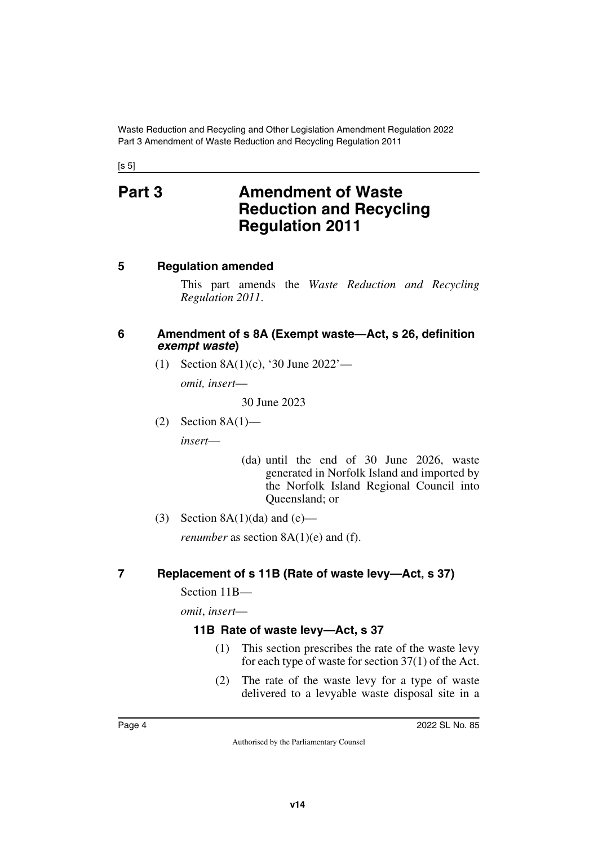<span id="page-3-1"></span><span id="page-3-0"></span> $[s 5]$ 

## **Part 3 Amendment of Waste Reduction and Recycling Regulation 2011**

## <span id="page-3-2"></span>**5 Regulation amended**

<span id="page-3-3"></span>This part amends the *Waste Reduction and Recycling Regulation 2011*.

### <span id="page-3-4"></span>**6 Amendment of s 8A (Exempt waste—Act, s 26, definition**  *exempt waste***)**

<span id="page-3-5"></span>(1) Section 8A(1)(c), '30 June 2022'—

*omit, insert*—

30 June 2023

 $(2)$  Section 8A $(1)$  *insert*—

- (da) until the end of 30 June 2026, waste generated in Norfolk Island and imported by the Norfolk Island Regional Council into Queensland; or
- (3) Section  $8A(1)(da)$  and  $(e)$ —

<span id="page-3-7"></span>*renumber* as section  $8A(1)(e)$  and (f).

## <span id="page-3-6"></span>**7 Replacement of s 11B (Rate of waste levy—Act, s 37)**

Section 11B—

*omit*, *insert*—

## <span id="page-3-9"></span><span id="page-3-8"></span>**11B Rate of waste levy—Act, s 37**

- (1) This section prescribes the rate of the waste levy for each type of waste for section 37(1) of the Act.
- (2) The rate of the waste levy for a type of waste delivered to a levyable waste disposal site in a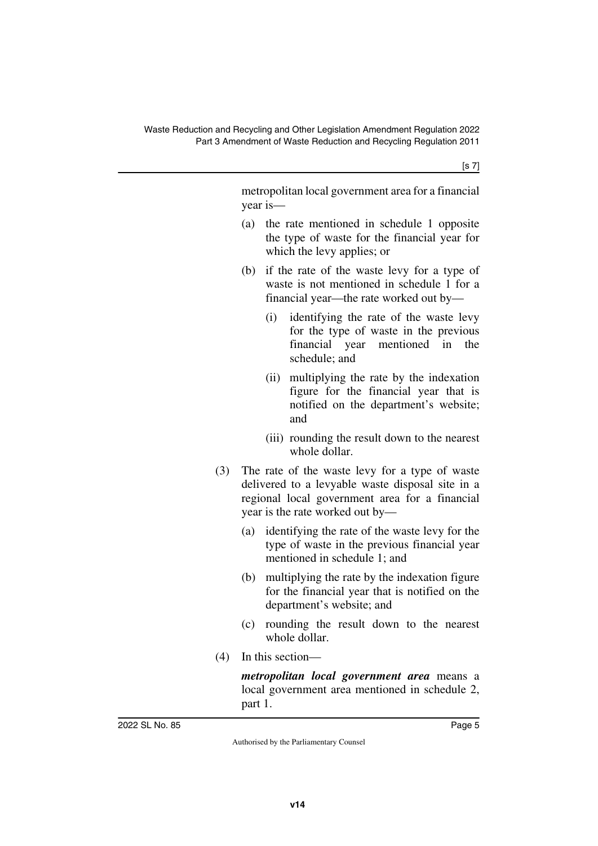[s 7]

metropolitan local government area for a financial year is—

- (a) the rate mentioned in schedule 1 opposite the type of waste for the financial year for which the levy applies; or
- (b) if the rate of the waste levy for a type of waste is not mentioned in schedule 1 for a financial year—the rate worked out by—
	- (i) identifying the rate of the waste levy for the type of waste in the previous financial year mentioned in the schedule; and
	- (ii) multiplying the rate by the indexation figure for the financial year that is notified on the department's website; and
	- (iii) rounding the result down to the nearest whole dollar.
- (3) The rate of the waste levy for a type of waste delivered to a levyable waste disposal site in a regional local government area for a financial year is the rate worked out by—
	- (a) identifying the rate of the waste levy for the type of waste in the previous financial year mentioned in schedule 1; and
	- (b) multiplying the rate by the indexation figure for the financial year that is notified on the department's website; and
	- (c) rounding the result down to the nearest whole dollar.
- (4) In this section—

*metropolitan local government area* means a local government area mentioned in schedule 2, part 1.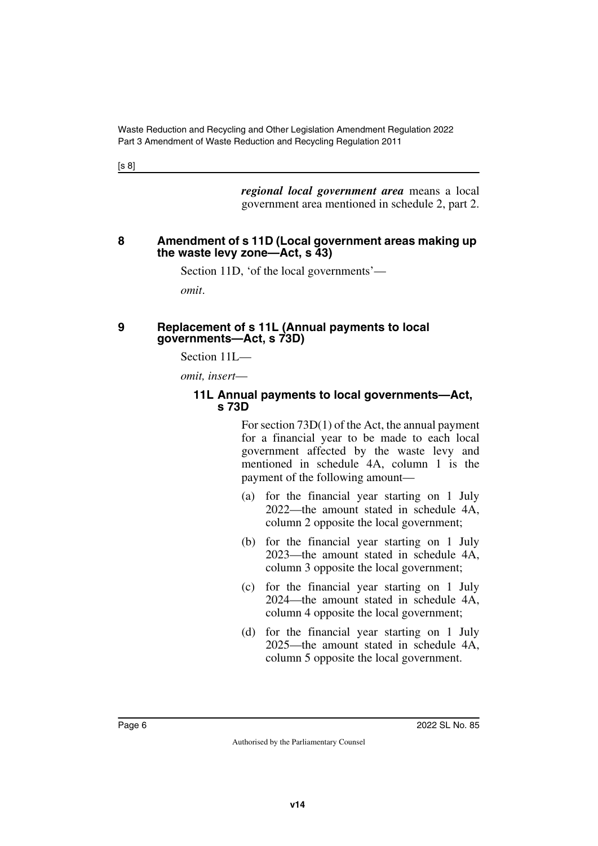[s 8]

*regional local government area* means a local government area mentioned in schedule 2, part 2.

### <span id="page-5-1"></span><span id="page-5-0"></span>**8 Amendment of s 11D (Local government areas making up the waste levy zone—Act, s 43)**

Section 11D, 'of the local governments'—

<span id="page-5-3"></span>*omit*.

### <span id="page-5-2"></span>**9 Replacement of s 11L (Annual payments to local governments—Act, s 73D)**

Section 11L—

*omit, insert*—

### <span id="page-5-5"></span><span id="page-5-4"></span>**11L Annual payments to local governments—Act, s 73D**

For section 73D(1) of the Act, the annual payment for a financial year to be made to each local government affected by the waste levy and mentioned in schedule 4A, column 1 is the payment of the following amount—

- (a) for the financial year starting on 1 July 2022—the amount stated in schedule 4A, column 2 opposite the local government;
- (b) for the financial year starting on 1 July 2023—the amount stated in schedule 4A, column 3 opposite the local government;
- (c) for the financial year starting on 1 July 2024—the amount stated in schedule 4A, column 4 opposite the local government;
- (d) for the financial year starting on 1 July 2025—the amount stated in schedule 4A, column 5 opposite the local government.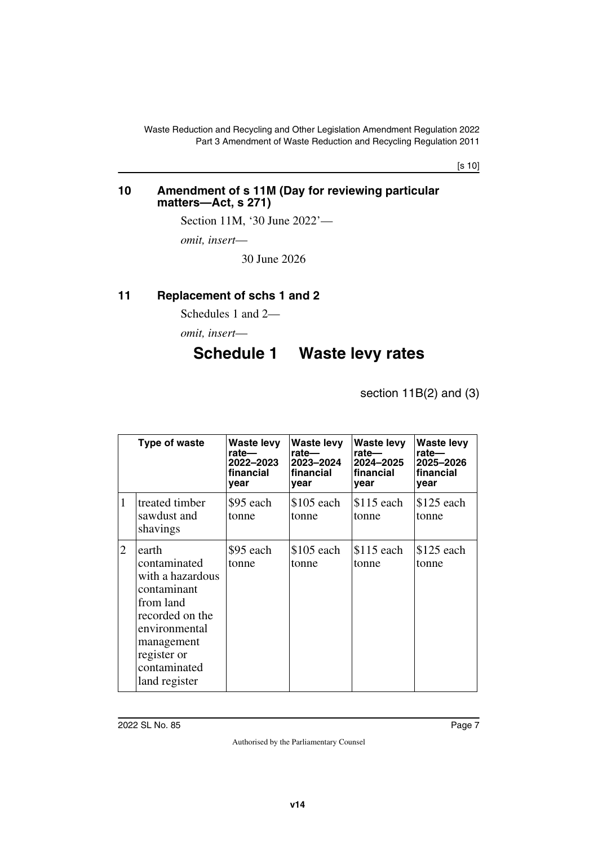[s 10]

#### <span id="page-6-1"></span><span id="page-6-0"></span>**10 Amendment of s 11M (Day for reviewing particular matters—Act, s 271)**

Section 11M, '30 June 2022'—

*omit, insert*—

30 June 2026

## <span id="page-6-2"></span>**11 Replacement of schs 1 and 2**

<span id="page-6-3"></span>Schedules 1 and 2—

<span id="page-6-4"></span>*omit, insert*—

## **Schedule 1 Waste levy rates**

<span id="page-6-5"></span>section 11B(2) and (3)

|   | Type of waste                                                                                                                                                           | Waste levy<br>rate—<br>2022–2023<br>financial<br>year | Waste levy<br>rate—<br>2023-2024<br>financial<br>year | Waste levy<br>rate—<br>2024-2025<br>financial<br>year | Waste levy<br>rate—<br>2025-2026<br>financial<br>year |
|---|-------------------------------------------------------------------------------------------------------------------------------------------------------------------------|-------------------------------------------------------|-------------------------------------------------------|-------------------------------------------------------|-------------------------------------------------------|
| 1 | treated timber<br>sawdust and<br>shavings                                                                                                                               | \$95 each<br>tonne                                    | \$105 each<br>tonne                                   | $$115$ each<br>tonne                                  | $$125$ each<br>tonne                                  |
| 2 | earth<br>contaminated<br>with a hazardous<br>contaminant<br>from land<br>recorded on the<br>environmental<br>management<br>register or<br>contaminated<br>land register | \$95 each<br>tonne                                    | $$105$ each<br>tonne                                  | $$115$ each<br>tonne                                  | $$125$ each<br>tonne                                  |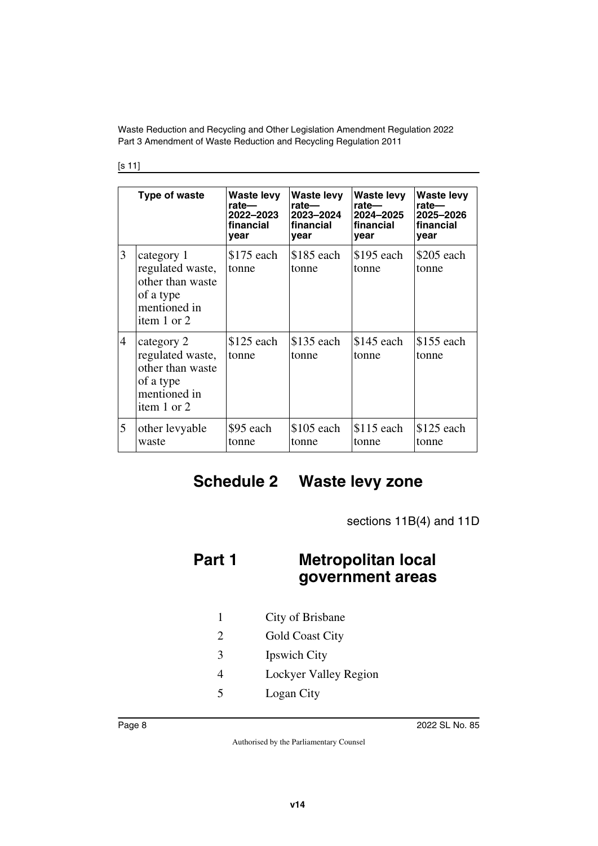#### [s 11]

|                | Type of waste                                                                                  | <b>Waste levy</b><br>rate—<br>2022-2023<br>financial<br>year | <b>Waste levy</b><br>rate-<br>2023-2024<br>financial<br>year | <b>Waste levy</b><br>rate-<br>2024-2025<br>financial<br>year | <b>Waste levy</b><br>rate-<br>2025-2026<br>financial<br>year |
|----------------|------------------------------------------------------------------------------------------------|--------------------------------------------------------------|--------------------------------------------------------------|--------------------------------------------------------------|--------------------------------------------------------------|
| 3              | category 1<br>regulated waste,<br>other than waste<br>of a type<br>mentioned in<br>item 1 or 2 | $$175$ each<br>tonne                                         | \$185 each<br>tonne                                          | \$195 each<br>tonne                                          | $$205$ each<br>tonne                                         |
| $\overline{4}$ | category 2<br>regulated waste,<br>other than waste<br>of a type<br>mentioned in<br>item 1 or 2 | \$125 each<br>tonne                                          | \$135 each<br>tonne                                          | \$145 each<br>tonne                                          | \$155 each<br>tonne                                          |
| 5              | other levyable<br>waste                                                                        | \$95 each<br>tonne                                           | \$105 each<br>tonne                                          | $$115$ each<br>tonne                                         | \$125 each<br>tonne                                          |

## <span id="page-7-0"></span>**Schedule 2 Waste levy zone**

<span id="page-7-3"></span><span id="page-7-1"></span>sections 11B(4) and 11D

## <span id="page-7-2"></span>**Part 1 Metropolitan local government areas**

- 1 City of Brisbane
- 2 Gold Coast City
- 3 Ipswich City
- 4 Lockyer Valley Region
- 5 Logan City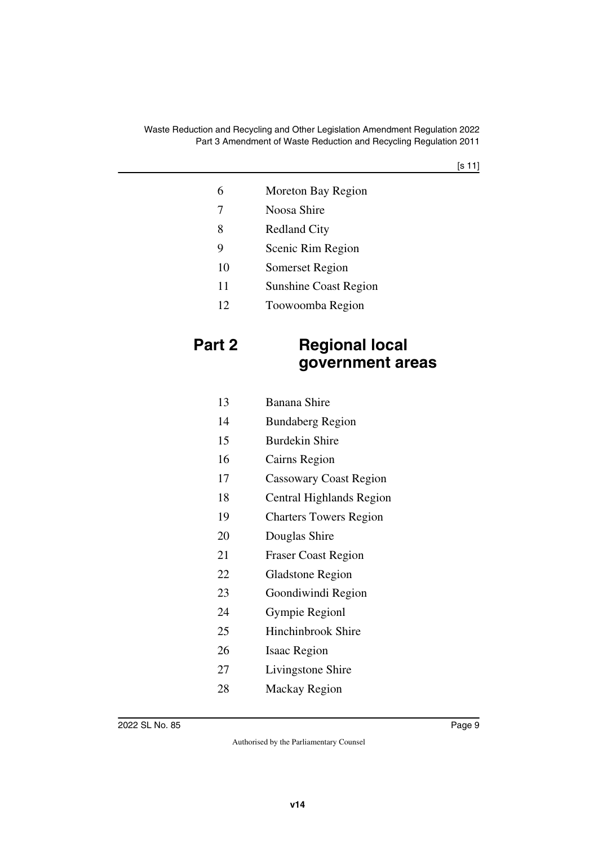[s 11]

| 6  | Moreton Bay Region           |
|----|------------------------------|
| 7  | Noosa Shire                  |
| 8  | <b>Redland City</b>          |
| 9  | Scenic Rim Region            |
| 10 | Somerset Region              |
| 11 | <b>Sunshine Coast Region</b> |
| 12 | Toowoomba Region             |

## <span id="page-8-1"></span><span id="page-8-0"></span>**Part 2 Regional local government areas**

| 13 | <b>Banana Shire</b>           |
|----|-------------------------------|
| 14 | <b>Bundaberg Region</b>       |
| 15 | <b>Burdekin Shire</b>         |
| 16 | Cairns Region                 |
| 17 | Cassowary Coast Region        |
| 18 | Central Highlands Region      |
| 19 | <b>Charters Towers Region</b> |
| 20 | Douglas Shire                 |
| 21 | <b>Fraser Coast Region</b>    |
| 22 | <b>Gladstone Region</b>       |
| 23 | Goondiwindi Region            |
| 24 | Gympie Regionl                |
| 25 | Hinchinbrook Shire            |
| 26 | <b>Isaac Region</b>           |
| 27 | Livingstone Shire             |
| 28 | Mackay Region                 |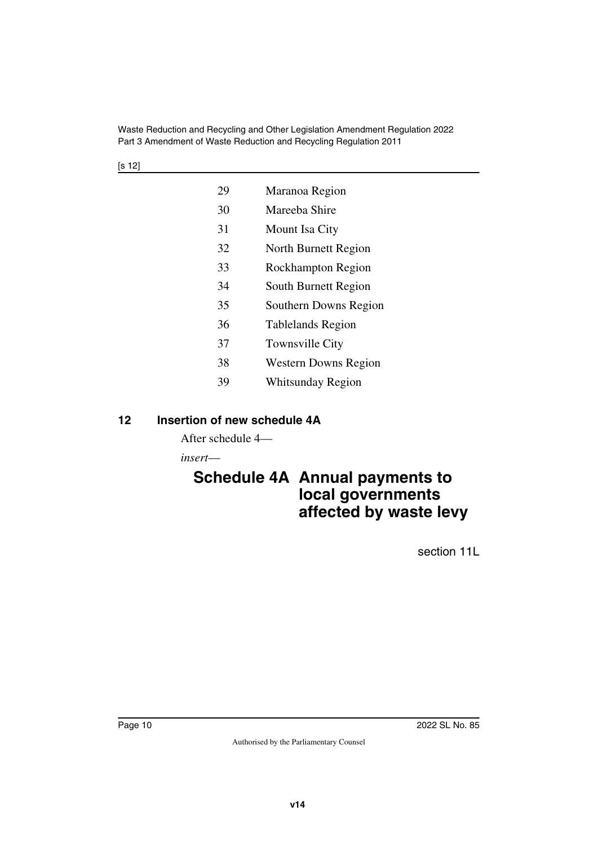| 29 | Maranoa Region              |
|----|-----------------------------|
| 30 | Mareeba Shire               |
| 31 | Mount Isa City              |
| 32 | North Burnett Region        |
| 33 | Rockhampton Region          |
| 34 | South Burnett Region        |
| 35 | Southern Downs Region       |
| 36 | <b>Tablelands Region</b>    |
| 37 | <b>Townsville City</b>      |
| 38 | <b>Western Downs Region</b> |
| 39 | Whitsunday Region           |

## <span id="page-9-0"></span>**12 Insertion of new schedule 4A**

<span id="page-9-1"></span>After schedule 4—

*insert*—

## <span id="page-9-3"></span><span id="page-9-2"></span>**Schedule 4A Annual payments to local governments affected by waste levy**

section 11L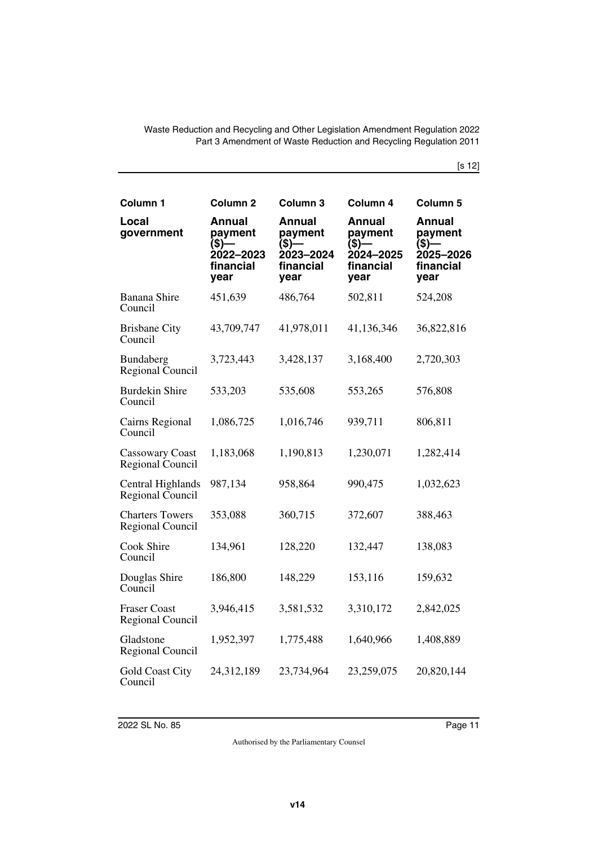[s 12]

| Column <sub>1</sub>                               | Column <sub>2</sub>                                                      | Column 3                                                                  | Column 4                                                               | Column <sub>5</sub>                                                 |
|---------------------------------------------------|--------------------------------------------------------------------------|---------------------------------------------------------------------------|------------------------------------------------------------------------|---------------------------------------------------------------------|
| Local<br>government                               | <b>Annual</b><br>payment<br>(\$)–<br>-<br>2022–2023<br>financial<br>year | <b>Annual</b><br>payment<br>$($ \$) $-$<br>2023-2024<br>financial<br>year | <b>Annual</b><br>payment<br>$($ \$)-<br>2024-2025<br>financial<br>year | <b>Annual</b><br>payment<br>(\$)—<br>2025-2026<br>financial<br>year |
| <b>Banana Shire</b><br>Council                    | 451,639                                                                  | 486,764                                                                   | 502,811                                                                | 524,208                                                             |
| <b>Brisbane City</b><br>Council                   | 43,709,747                                                               | 41,978,011                                                                | 41,136,346                                                             | 36,822,816                                                          |
| Bundaberg<br>Regional Council                     | 3,723,443                                                                | 3,428,137                                                                 | 3,168,400                                                              | 2,720,303                                                           |
| <b>Burdekin Shire</b><br>Council                  | 533,203                                                                  | 535,608                                                                   | 553,265                                                                | 576,808                                                             |
| Cairns Regional<br>Council                        | 1,086,725                                                                | 1,016,746                                                                 | 939,711                                                                | 806,811                                                             |
| <b>Cassowary Coast</b><br>Regional Council        | 1,183,068                                                                | 1,190,813                                                                 | 1,230,071                                                              | 1,282,414                                                           |
| Central Highlands<br>Regional Council             | 987,134                                                                  | 958,864                                                                   | 990,475                                                                | 1,032,623                                                           |
| <b>Charters Towers</b><br><b>Regional Council</b> | 353,088                                                                  | 360,715                                                                   | 372,607                                                                | 388,463                                                             |
| Cook Shire<br>Council                             | 134,961                                                                  | 128,220                                                                   | 132,447                                                                | 138,083                                                             |
| Douglas Shire<br>Council                          | 186,800                                                                  | 148,229                                                                   | 153,116                                                                | 159,632                                                             |
| <b>Fraser Coast</b><br>Regional Council           | 3,946,415                                                                | 3,581,532                                                                 | 3,310,172                                                              | 2,842,025                                                           |
| Gladstone<br>Regional Council                     | 1,952,397                                                                | 1,775,488                                                                 | 1,640,966                                                              | 1,408,889                                                           |
| <b>Gold Coast City</b><br>Council                 | 24,312,189                                                               | 23,734,964                                                                | 23,259,075                                                             | 20,820,144                                                          |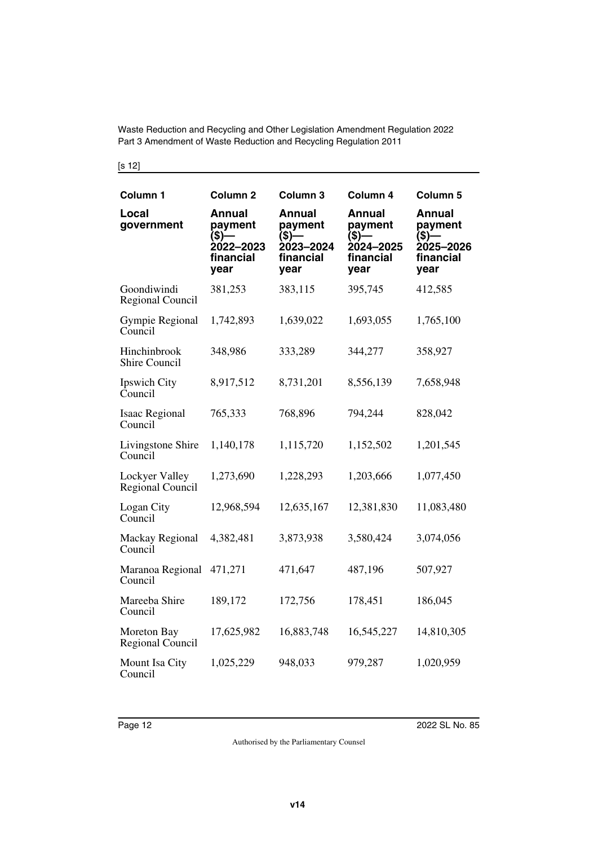[s 12]

| Column <sub>1</sub>                  | Column <sub>2</sub>                                                    | Column <sub>3</sub>                                                       | Column 4                                                                  | Column 5                                                              |
|--------------------------------------|------------------------------------------------------------------------|---------------------------------------------------------------------------|---------------------------------------------------------------------------|-----------------------------------------------------------------------|
| Local<br>government                  | <b>Annual</b><br>payment<br>$($ \$)—<br>2022-2023<br>financial<br>year | <b>Annual</b><br>payment<br>$($ \$) $-$<br>2023-2024<br>financial<br>year | <b>Annual</b><br>payment<br>$($ \$) $-$<br>2024-2025<br>financial<br>year | <b>Annual</b><br>payment<br>$(S)$ —<br>2025-2026<br>financial<br>year |
| Goondiwindi<br>Regional Council      | 381,253                                                                | 383,115                                                                   | 395,745                                                                   | 412,585                                                               |
| Gympie Regional<br>Council           | 1,742,893                                                              | 1,639,022                                                                 | 1,693,055                                                                 | 1,765,100                                                             |
| Hinchinbrook<br><b>Shire Council</b> | 348,986                                                                | 333,289                                                                   | 344,277                                                                   | 358,927                                                               |
| Ipswich City<br>Council              | 8,917,512                                                              | 8,731,201                                                                 | 8,556,139                                                                 | 7,658,948                                                             |
| <b>Isaac Regional</b><br>Council     | 765,333                                                                | 768,896                                                                   | 794,244                                                                   | 828,042                                                               |
| Livingstone Shire<br>Council         | 1,140,178                                                              | 1,115,720                                                                 | 1,152,502                                                                 | 1,201,545                                                             |
| Lockyer Valley<br>Regional Council   | 1,273,690                                                              | 1,228,293                                                                 | 1,203,666                                                                 | 1,077,450                                                             |
| Logan City<br>Council                | 12,968,594                                                             | 12,635,167                                                                | 12,381,830                                                                | 11,083,480                                                            |
| Mackay Regional<br>Council           | 4,382,481                                                              | 3,873,938                                                                 | 3,580,424                                                                 | 3,074,056                                                             |
| Maranoa Regional<br>Council          | 471,271                                                                | 471,647                                                                   | 487,196                                                                   | 507,927                                                               |
| Mareeba Shire<br>Council             | 189,172                                                                | 172,756                                                                   | 178,451                                                                   | 186,045                                                               |
| Moreton Bay<br>Regional Council      | 17,625,982                                                             | 16,883,748                                                                | 16,545,227                                                                | 14,810,305                                                            |
| Mount Isa City<br>Council            | 1,025,229                                                              | 948,033                                                                   | 979,287                                                                   | 1,020,959                                                             |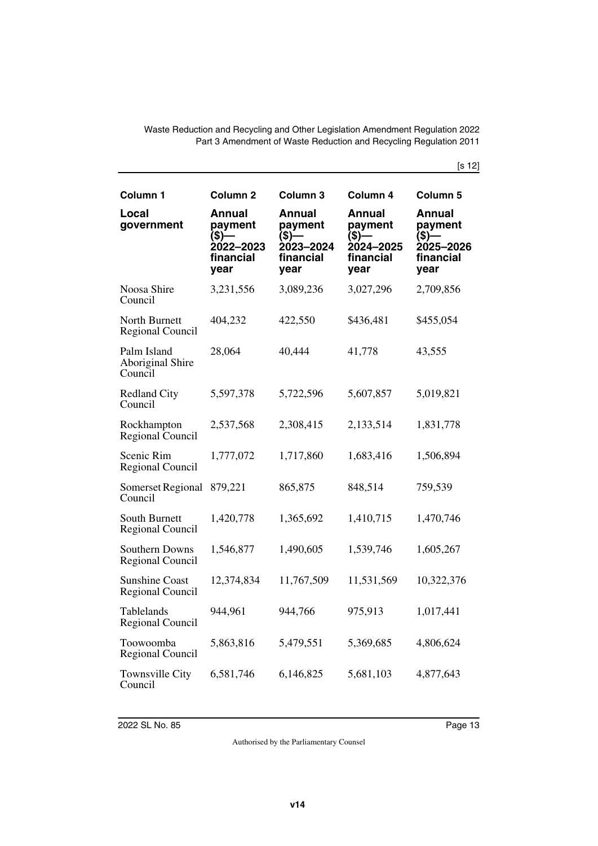[s 12]

| Column 1                                   | Column <sub>2</sub>                                          | Column <sub>3</sub>                                          | Column 4                                                     | Column 5                                                     |
|--------------------------------------------|--------------------------------------------------------------|--------------------------------------------------------------|--------------------------------------------------------------|--------------------------------------------------------------|
| Local<br>government                        | Annual<br>payment<br>(\$)—<br>2022-2023<br>financial<br>year | Annual<br>payment<br>(\$)—<br>2023–2024<br>financial<br>year | Annual<br>payment<br>(\$)—<br>2024-2025<br>financial<br>year | Annual<br>payment<br>(\$)—<br>2025–2026<br>financial<br>year |
| Noosa Shire<br>Council                     | 3,231,556                                                    | 3,089,236                                                    | 3,027,296                                                    | 2,709,856                                                    |
| North Burnett<br>Regional Council          | 404,232                                                      | 422,550                                                      | \$436,481                                                    | \$455,054                                                    |
| Palm Island<br>Aboriginal Shire<br>Council | 28,064                                                       | 40,444                                                       | 41,778                                                       | 43,555                                                       |
| <b>Redland City</b><br>Council             | 5,597,378                                                    | 5,722,596                                                    | 5,607,857                                                    | 5,019,821                                                    |
| Rockhampton<br>Regional Council            | 2,537,568                                                    | 2,308,415                                                    | 2,133,514                                                    | 1,831,778                                                    |
| Scenic Rim<br>Regional Council             | 1,777,072                                                    | 1,717,860                                                    | 1,683,416                                                    | 1,506,894                                                    |
| Somerset Regional<br>Council               | 879,221                                                      | 865,875                                                      | 848,514                                                      | 759,539                                                      |
| South Burnett<br>Regional Council          | 1,420,778                                                    | 1,365,692                                                    | 1,410,715                                                    | 1,470,746                                                    |
| Southern Downs<br>Regional Council         | 1,546,877                                                    | 1,490,605                                                    | 1,539,746                                                    | 1,605,267                                                    |
| <b>Sunshine Coast</b><br>Regional Council  | 12,374,834                                                   | 11,767,509                                                   | 11,531,569                                                   | 10,322,376                                                   |
| Tablelands<br>Regional Council             | 944,961                                                      | 944,766                                                      | 975,913                                                      | 1,017,441                                                    |
| Toowoomba<br><b>Regional Council</b>       | 5,863,816                                                    | 5,479,551                                                    | 5,369,685                                                    | 4,806,624                                                    |
| Townsville City<br>Council                 | 6,581,746                                                    | 6,146,825                                                    | 5,681,103                                                    | 4,877,643                                                    |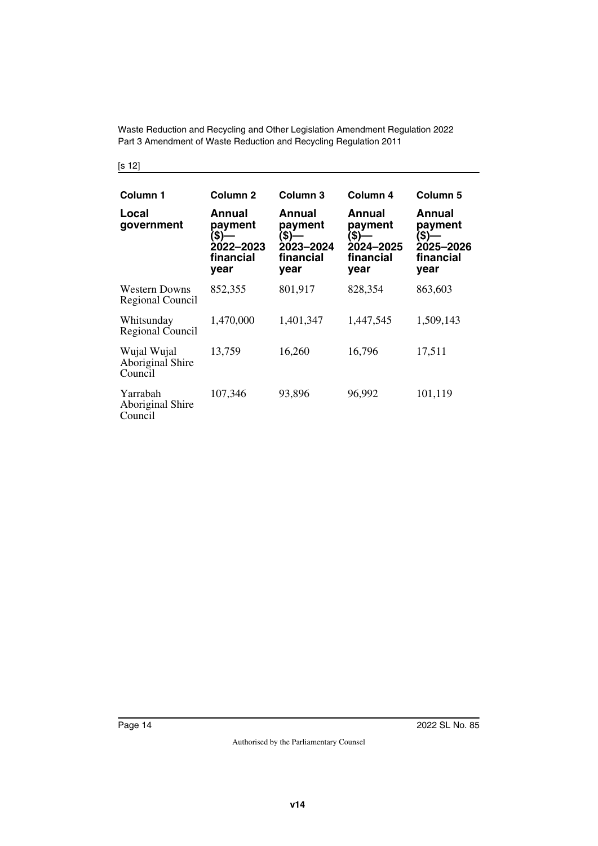| Column 1                                   | Column 2                                                     | Column <sub>3</sub>                                          | Column 4                                                     | Column 5                                                     |
|--------------------------------------------|--------------------------------------------------------------|--------------------------------------------------------------|--------------------------------------------------------------|--------------------------------------------------------------|
| Local<br>government                        | Annual<br>payment<br>(\$)—<br>2022–2023<br>financial<br>year | Annual<br>payment<br>(\$)-<br>2023-2024<br>financial<br>year | Annual<br>payment<br>(\$)—<br>2024-2025<br>financial<br>year | Annual<br>payment<br>(\$)-<br>2025-2026<br>financial<br>year |
| <b>Western Downs</b><br>Regional Council   | 852,355                                                      | 801,917                                                      | 828,354                                                      | 863,603                                                      |
| Whitsunday<br>Regional Council             | 1,470,000                                                    | 1,401,347                                                    | 1,447,545                                                    | 1,509,143                                                    |
| Wujal Wujal<br>Aboriginal Shire<br>Council | 13,759                                                       | 16,260                                                       | 16,796                                                       | 17,511                                                       |
| Yarrabah<br>Aboriginal Shire<br>Council    | 107,346                                                      | 93,896                                                       | 96,992                                                       | 101,119                                                      |